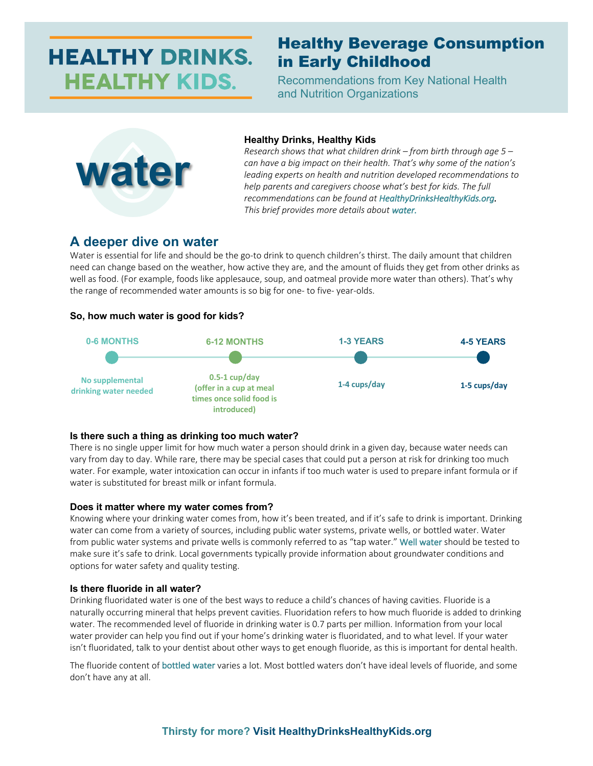# **HEALTHY DRINKS. HEALTHY KIDS.**

# Healthy Beverage Consumption in Early Childhood

Recommendations from Key National Health and Nutrition Organizations



## **Healthy Drinks, Healthy Kids**

*Research shows that what children drink – from birth through age 5 – can have a big impact on their health. That's why some of the nation's leading experts on health and nutrition developed recommendations to help parents and caregivers choose what's best for kids. The full recommendations can be found at HealthyDrinksHealthyKids.org. This brief provides more details about water.* 

# **A deeper dive on water**

Water is essential for life and should be the go-to drink to quench children's thirst. The daily amount that children need can change based on the weather, how active they are, and the amount of fluids they get from other drinks as well as food. (For example, foods like applesauce, soup, and oatmeal provide more water than others). That's why the range of recommended water amounts is so big for one- to five- year-olds.

# **So, how much water is good for kids?**



## **Is there such a thing as drinking too much water?**

There is no single upper limit for how much water a person should drink in a given day, because water needs can vary from day to day. While rare, there may be special cases that could put a person at risk for drinking too much water. For example, water intoxication can occur in infants if too much water is used to prepare infant formula or if water is substituted for breast milk or infant formula.

#### **Does it matter where my water comes from?**

Knowing where your drinking water comes from, how it's been treated, and if it's safe to drink is important. Drinking water can come from a variety of sources, including public water systems, private wells, or bottled water. Water from public water systems and private wells is commonly referred to as "tap water." Well water should be tested to make sure it's safe to drink. Local governments typically provide information about groundwater conditions and options for water safety and quality testing.

#### **Is there fluoride in all water?**

Drinking fluoridated water is one of the best ways to reduce a child's chances of having cavities. Fluoride is a naturally occurring mineral that helps prevent cavities. Fluoridation refers to how much fluoride is added to drinking water. The recommended level of fluoride in drinking water is 0.7 parts per million. Information from your local water provider can help you find out if your home's drinking water is fluoridated, and to what level. If your water isn't fluoridated, talk to your dentist about other ways to get enough fluoride, as this is important for dental health.

The fluoride content of bottled water varies a lot. Most bottled waters don't have ideal levels of fluoride, and some don't have any at all.